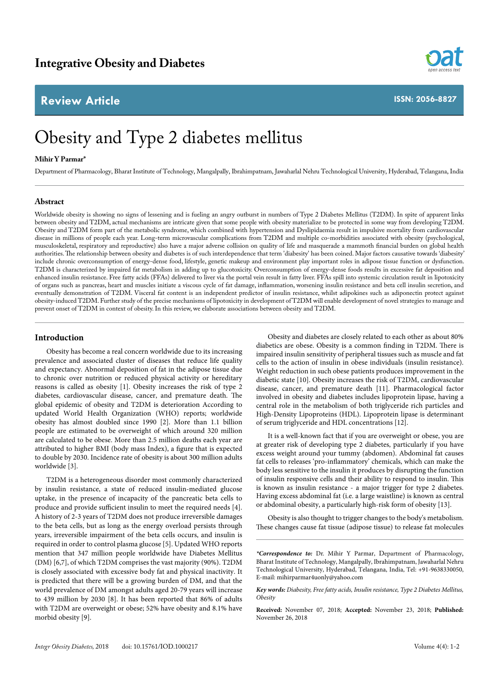## **Review Article**



**ISSN: 2056-8827**

# Obesity and Type 2 diabetes mellitus

#### **Mihir Y Parmar\***

Department of Pharmacology, Bharat Institute of Technology, Mangalpally, Ibrahimpatnam, Jawaharlal Nehru Technological University, Hyderabad, Telangana, India

#### **Abstract**

Worldwide obesity is showing no signs of lessening and is fueling an angry outburst in numbers of Type 2 Diabetes Mellitus (T2DM). In spite of apparent links between obesity and T2DM, actual mechanisms are intricate given that some people with obesity materialize to be protected in some way from developing T2DM. Obesity and T2DM form part of the metabolic syndrome, which combined with hypertension and Dyslipidaemia result in impulsive mortality from cardiovascular disease in millions of people each year. Long-term microvascular complications from T2DM and multiple co-morbidities associated with obesity (psychological, musculoskeletal, respiratory and reproductive) also have a major adverse collision on quality of life and masquerade a mammoth financial burden on global health authorities. The relationship between obesity and diabetes is of such interdependence that term 'diabesity' has been coined. Major factors causative towards 'diabesity' include chronic overconsumption of energy-dense food, lifestyle, genetic makeup and environment play important roles in adipose tissue function or dysfunction. T2DM is characterized by impaired fat metabolism in adding up to glucotoxicity. Overconsumption of energy-dense foods results in excessive fat deposition and enhanced insulin resistance. Free fatty acids (FFAs) delivered to liver via the portal vein result in fatty liver. FFAs spill into systemic circulation result in lipotoxicity of organs such as pancreas, heart and muscles initiate a viscous cycle of fat damage, inflammation, worsening insulin resistance and beta cell insulin secretion, and eventually demonstration of T2DM. Visceral fat content is an independent predictor of insulin resistance, whilst adipokines such as adiponectin protect against obesity-induced T2DM. Further study of the precise mechanisms of lipotoxicity in development of T2DM will enable development of novel strategies to manage and prevent onset of T2DM in context of obesity. In this review, we elaborate associations between obesity and T2DM.

### **Introduction**

Obesity has become a real concern worldwide due to its increasing prevalence and associated cluster of diseases that reduce life quality and expectancy. Abnormal deposition of fat in the adipose tissue due to chronic over nutrition or reduced physical activity or hereditary reasons is called as obesity [1]. Obesity increases the risk of type 2 diabetes, cardiovascular disease, cancer, and premature death. The global epidemic of obesity and T2DM is deterioration According to updated World Health Organization (WHO) reports; worldwide obesity has almost doubled since 1990 [2]. More than 1.1 billion people are estimated to be overweight of which around 320 million are calculated to be obese. More than 2.5 million deaths each year are attributed to higher BMI (body mass Index), a figure that is expected to double by 2030. Incidence rate of obesity is about 300 million adults worldwide [3].

T2DM is a heterogeneous disorder most commonly characterized by insulin resistance, a state of reduced insulin-mediated glucose uptake, in the presence of incapacity of the pancreatic beta cells to produce and provide sufficient insulin to meet the required needs [4]. A history of 2-3 years of T2DM does not produce irreversible damages to the beta cells, but as long as the energy overload persists through years, irreversible impairment of the beta cells occurs, and insulin is required in order to control plasma glucose [5]. Updated WHO reports mention that 347 million people worldwide have Diabetes Mellitus (DM) [6,7], of which T2DM comprises the vast majority (90%). T2DM is closely associated with excessive body fat and physical inactivity. It is predicted that there will be a growing burden of DM, and that the world prevalence of DM amongst adults aged 20-79 years will increase to 439 million by 2030 [8]. It has been reported that 86% of adults with T2DM are overweight or obese; 52% have obesity and 8.1% have morbid obesity [9].

Obesity and diabetes are closely related to each other as about 80% diabetics are obese. Obesity is a common finding in T2DM. There is impaired insulin sensitivity of peripheral tissues such as muscle and fat cells to the action of insulin in obese individuals (insulin resistance). Weight reduction in such obese patients produces improvement in the diabetic state [10]. Obesity increases the risk of T2DM, cardiovascular disease, cancer, and premature death [11]. Pharmacological factor involved in obesity and diabetes includes lipoprotein lipase, having a central role in the metabolism of both triglyceride rich particles and High-Density Lipoproteins (HDL). Lipoprotein lipase is determinant of serum triglyceride and HDL concentrations [12].

It is a well-known fact that if you are overweight or obese, you are at greater risk of developing type 2 diabetes, particularly if you have excess weight around your tummy (abdomen). Abdominal fat causes fat cells to releases 'pro-inflammatory' chemicals, which can make the body less sensitive to the insulin it produces by disrupting the function of insulin responsive cells and their ability to respond to insulin. This is known as insulin resistance - a major trigger for type 2 diabetes. Having excess abdominal fat (i.e. a large waistline) is known as central or abdominal obesity, a particularly high-risk form of obesity [13].

Obesity is also thought to trigger changes to the body's metabolism. These changes cause fat tissue (adipose tissue) to release fat molecules

*<sup>\*</sup>Correspondence to:* Dr. Mihir Y Parmar, Department of Pharmacology, Bharat Institute of Technology, Mangalpally, Ibrahimpatnam, Jawaharlal Nehru Technological University, Hyderabad, Telangana, India, Tel: +91-9638330050, E-mail: mihirparmar4uonly@yahoo.com

*Key words: Diabesity, Free fatty acids, Insulin resistance, Type 2 Diabetes Mellitus, Obesity*

**Received:** November 07, 2018; **Accepted:** November 23, 2018; **Published:**  November 26, 2018